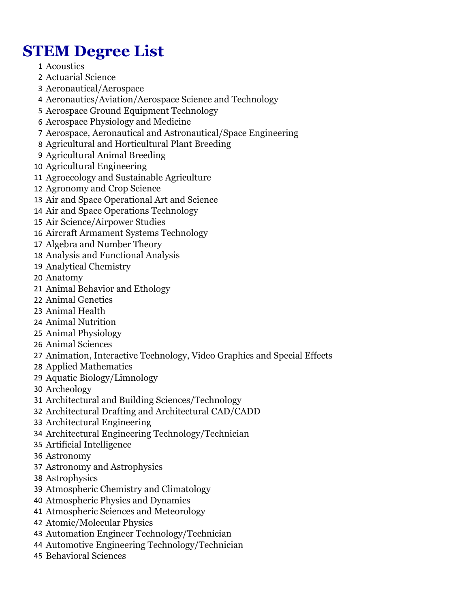## **STEM Degree List**

- Acoustics
- Actuarial Science
- Aeronautical/Aerospace
- Aeronautics/Aviation/Aerospace Science and Technology
- Aerospace Ground Equipment Technology
- Aerospace Physiology and Medicine
- Aerospace, Aeronautical and Astronautical/Space Engineering
- Agricultural and Horticultural Plant Breeding
- Agricultural Animal Breeding
- Agricultural Engineering
- Agroecology and Sustainable Agriculture
- Agronomy and Crop Science
- Air and Space Operational Art and Science
- Air and Space Operations Technology
- Air Science/Airpower Studies
- Aircraft Armament Systems Technology
- Algebra and Number Theory
- Analysis and Functional Analysis
- Analytical Chemistry
- Anatomy
- Animal Behavior and Ethology
- Animal Genetics
- Animal Health
- Animal Nutrition
- Animal Physiology
- Animal Sciences
- Animation, Interactive Technology, Video Graphics and Special Effects
- Applied Mathematics
- Aquatic Biology/Limnology
- Archeology
- Architectural and Building Sciences/Technology
- Architectural Drafting and Architectural CAD/CADD
- Architectural Engineering
- Architectural Engineering Technology/Technician
- Artificial Intelligence
- Astronomy
- Astronomy and Astrophysics
- Astrophysics
- Atmospheric Chemistry and Climatology
- Atmospheric Physics and Dynamics
- Atmospheric Sciences and Meteorology
- Atomic/Molecular Physics
- Automation Engineer Technology/Technician
- Automotive Engineering Technology/Technician
- Behavioral Sciences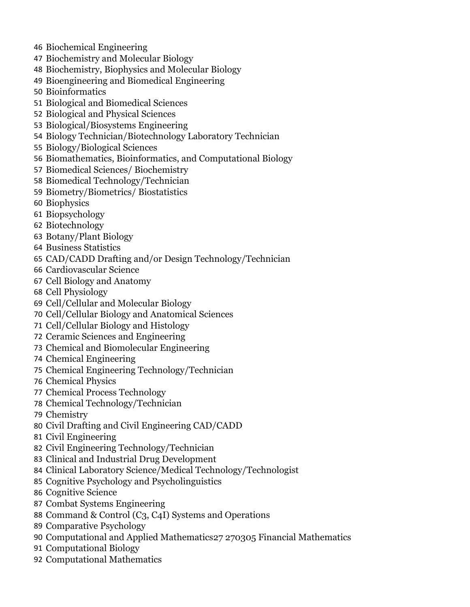- Biochemical Engineering
- Biochemistry and Molecular Biology
- Biochemistry, Biophysics and Molecular Biology
- Bioengineering and Biomedical Engineering
- Bioinformatics
- Biological and Biomedical Sciences
- Biological and Physical Sciences
- Biological/Biosystems Engineering
- Biology Technician/Biotechnology Laboratory Technician
- Biology/Biological Sciences
- Biomathematics, Bioinformatics, and Computational Biology
- Biomedical Sciences/ Biochemistry
- Biomedical Technology/Technician
- Biometry/Biometrics/ Biostatistics
- Biophysics
- Biopsychology
- Biotechnology
- Botany/Plant Biology
- Business Statistics
- CAD/CADD Drafting and/or Design Technology/Technician
- Cardiovascular Science
- Cell Biology and Anatomy
- Cell Physiology
- Cell/Cellular and Molecular Biology
- Cell/Cellular Biology and Anatomical Sciences
- Cell/Cellular Biology and Histology
- Ceramic Sciences and Engineering
- Chemical and Biomolecular Engineering
- Chemical Engineering
- Chemical Engineering Technology/Technician
- Chemical Physics
- Chemical Process Technology
- Chemical Technology/Technician
- Chemistry
- Civil Drafting and Civil Engineering CAD/CADD
- Civil Engineering
- Civil Engineering Technology/Technician
- Clinical and Industrial Drug Development
- Clinical Laboratory Science/Medical Technology/Technologist
- Cognitive Psychology and Psycholinguistics
- Cognitive Science
- Combat Systems Engineering
- Command & Control (C3, C4I) Systems and Operations
- Comparative Psychology
- Computational and Applied Mathematics27 270305 Financial Mathematics
- Computational Biology
- Computational Mathematics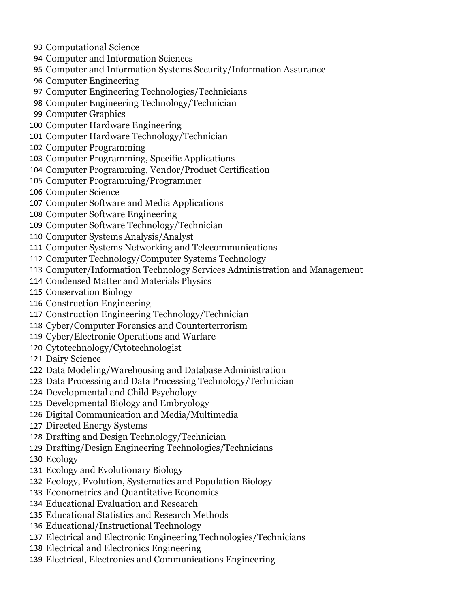- Computational Science
- Computer and Information Sciences
- Computer and Information Systems Security/Information Assurance
- Computer Engineering
- Computer Engineering Technologies/Technicians
- Computer Engineering Technology/Technician
- Computer Graphics
- Computer Hardware Engineering
- Computer Hardware Technology/Technician
- Computer Programming
- Computer Programming, Specific Applications
- Computer Programming, Vendor/Product Certification
- Computer Programming/Programmer
- Computer Science
- Computer Software and Media Applications
- Computer Software Engineering
- Computer Software Technology/Technician
- Computer Systems Analysis/Analyst
- Computer Systems Networking and Telecommunications
- Computer Technology/Computer Systems Technology
- Computer/Information Technology Services Administration and Management
- Condensed Matter and Materials Physics
- Conservation Biology
- Construction Engineering
- Construction Engineering Technology/Technician
- Cyber/Computer Forensics and Counterterrorism
- Cyber/Electronic Operations and Warfare
- Cytotechnology/Cytotechnologist
- Dairy Science
- Data Modeling/Warehousing and Database Administration
- Data Processing and Data Processing Technology/Technician
- Developmental and Child Psychology
- Developmental Biology and Embryology
- Digital Communication and Media/Multimedia
- Directed Energy Systems
- Drafting and Design Technology/Technician
- Drafting/Design Engineering Technologies/Technicians
- Ecology
- Ecology and Evolutionary Biology
- Ecology, Evolution, Systematics and Population Biology
- Econometrics and Quantitative Economics
- Educational Evaluation and Research
- Educational Statistics and Research Methods
- Educational/Instructional Technology
- Electrical and Electronic Engineering Technologies/Technicians
- Electrical and Electronics Engineering
- Electrical, Electronics and Communications Engineering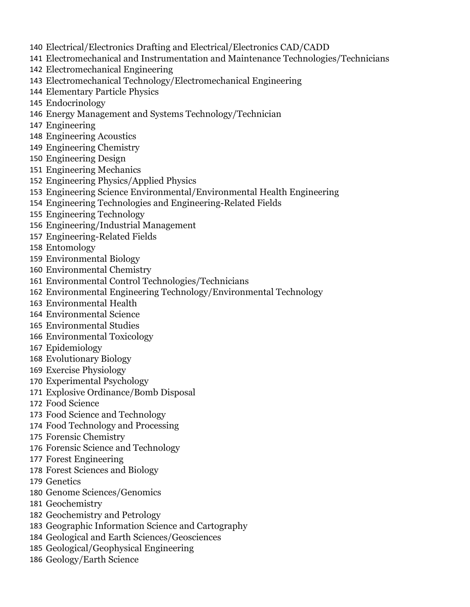- Electrical/Electronics Drafting and Electrical/Electronics CAD/CADD
- Electromechanical and Instrumentation and Maintenance Technologies/Technicians
- Electromechanical Engineering
- Electromechanical Technology/Electromechanical Engineering
- Elementary Particle Physics
- Endocrinology
- Energy Management and Systems Technology/Technician
- Engineering
- Engineering Acoustics
- Engineering Chemistry
- Engineering Design
- Engineering Mechanics
- Engineering Physics/Applied Physics
- Engineering Science Environmental/Environmental Health Engineering
- Engineering Technologies and Engineering-Related Fields
- Engineering Technology
- Engineering/Industrial Management
- Engineering-Related Fields
- Entomology
- Environmental Biology
- Environmental Chemistry
- Environmental Control Technologies/Technicians
- Environmental Engineering Technology/Environmental Technology
- Environmental Health
- Environmental Science
- Environmental Studies
- Environmental Toxicology
- Epidemiology
- Evolutionary Biology
- Exercise Physiology
- Experimental Psychology
- Explosive Ordinance/Bomb Disposal
- Food Science
- Food Science and Technology
- Food Technology and Processing
- Forensic Chemistry
- Forensic Science and Technology
- Forest Engineering
- Forest Sciences and Biology
- Genetics
- Genome Sciences/Genomics
- Geochemistry
- Geochemistry and Petrology
- Geographic Information Science and Cartography
- Geological and Earth Sciences/Geosciences
- Geological/Geophysical Engineering
- Geology/Earth Science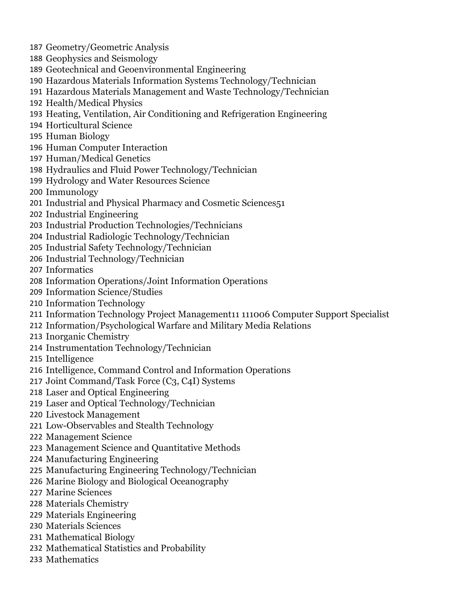- Geometry/Geometric Analysis
- Geophysics and Seismology
- Geotechnical and Geoenvironmental Engineering
- Hazardous Materials Information Systems Technology/Technician
- Hazardous Materials Management and Waste Technology/Technician
- Health/Medical Physics
- Heating, Ventilation, Air Conditioning and Refrigeration Engineering
- Horticultural Science
- Human Biology
- Human Computer Interaction
- Human/Medical Genetics
- Hydraulics and Fluid Power Technology/Technician
- Hydrology and Water Resources Science
- Immunology
- Industrial and Physical Pharmacy and Cosmetic Sciences51
- Industrial Engineering
- Industrial Production Technologies/Technicians
- Industrial Radiologic Technology/Technician
- Industrial Safety Technology/Technician
- Industrial Technology/Technician
- Informatics
- Information Operations/Joint Information Operations
- Information Science/Studies
- Information Technology
- Information Technology Project Management11 111006 Computer Support Specialist
- Information/Psychological Warfare and Military Media Relations
- Inorganic Chemistry
- Instrumentation Technology/Technician
- Intelligence
- Intelligence, Command Control and Information Operations
- Joint Command/Task Force (C3, C4I) Systems
- Laser and Optical Engineering
- Laser and Optical Technology/Technician
- Livestock Management
- Low-Observables and Stealth Technology
- Management Science
- Management Science and Quantitative Methods
- Manufacturing Engineering
- Manufacturing Engineering Technology/Technician
- Marine Biology and Biological Oceanography
- Marine Sciences
- Materials Chemistry
- Materials Engineering
- Materials Sciences
- Mathematical Biology
- Mathematical Statistics and Probability
- Mathematics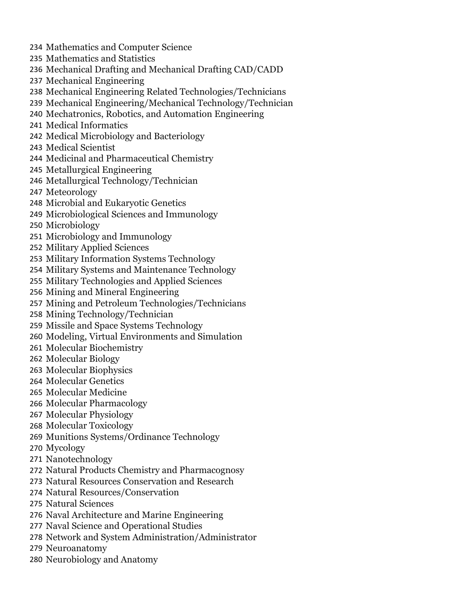- Mathematics and Computer Science Mathematics and Statistics Mechanical Drafting and Mechanical Drafting CAD/CADD Mechanical Engineering Mechanical Engineering Related Technologies/Technicians Mechanical Engineering/Mechanical Technology/Technician Mechatronics, Robotics, and Automation Engineering Medical Informatics Medical Microbiology and Bacteriology Medical Scientist Medicinal and Pharmaceutical Chemistry Metallurgical Engineering Metallurgical Technology/Technician Meteorology Microbial and Eukaryotic Genetics Microbiological Sciences and Immunology Microbiology Microbiology and Immunology Military Applied Sciences Military Information Systems Technology Military Systems and Maintenance Technology Military Technologies and Applied Sciences Mining and Mineral Engineering Mining and Petroleum Technologies/Technicians Mining Technology/Technician Missile and Space Systems Technology Modeling, Virtual Environments and Simulation Molecular Biochemistry Molecular Biology Molecular Biophysics Molecular Genetics Molecular Medicine Molecular Pharmacology Molecular Physiology Molecular Toxicology Munitions Systems/Ordinance Technology Mycology Nanotechnology Natural Products Chemistry and Pharmacognosy Natural Resources Conservation and Research Natural Resources/Conservation Natural Sciences
	- Naval Architecture and Marine Engineering
	- Naval Science and Operational Studies
	- Network and System Administration/Administrator
	- Neuroanatomy
	- Neurobiology and Anatomy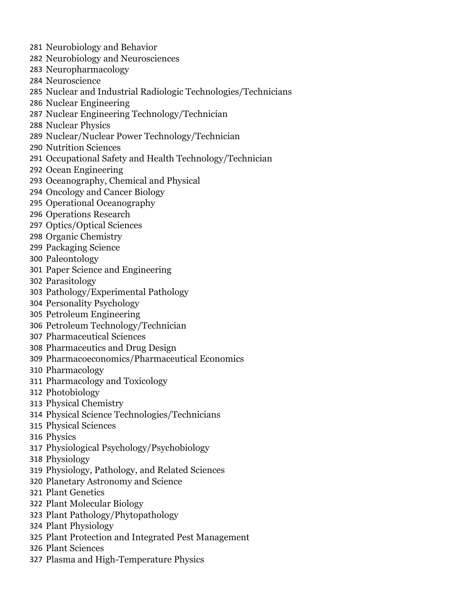- Neurobiology and Behavior
- Neurobiology and Neurosciences
- Neuropharmacology
- Neuroscience
- Nuclear and Industrial Radiologic Technologies/Technicians
- Nuclear Engineering
- Nuclear Engineering Technology/Technician
- Nuclear Physics
- Nuclear/Nuclear Power Technology/Technician
- Nutrition Sciences
- Occupational Safety and Health Technology/Technician
- Ocean Engineering
- Oceanography, Chemical and Physical
- Oncology and Cancer Biology
- Operational Oceanography
- Operations Research
- Optics/Optical Sciences
- Organic Chemistry
- Packaging Science
- Paleontology
- Paper Science and Engineering
- Parasitology
- Pathology/Experimental Pathology
- Personality Psychology
- Petroleum Engineering
- Petroleum Technology/Technician
- Pharmaceutical Sciences
- Pharmaceutics and Drug Design
- Pharmacoeconomics/Pharmaceutical Economics
- Pharmacology
- Pharmacology and Toxicology
- Photobiology
- Physical Chemistry
- Physical Science Technologies/Technicians
- Physical Sciences
- Physics
- Physiological Psychology/Psychobiology
- Physiology
- Physiology, Pathology, and Related Sciences
- Planetary Astronomy and Science
- Plant Genetics
- Plant Molecular Biology
- Plant Pathology/Phytopathology
- Plant Physiology
- Plant Protection and Integrated Pest Management
- Plant Sciences
- Plasma and High-Temperature Physics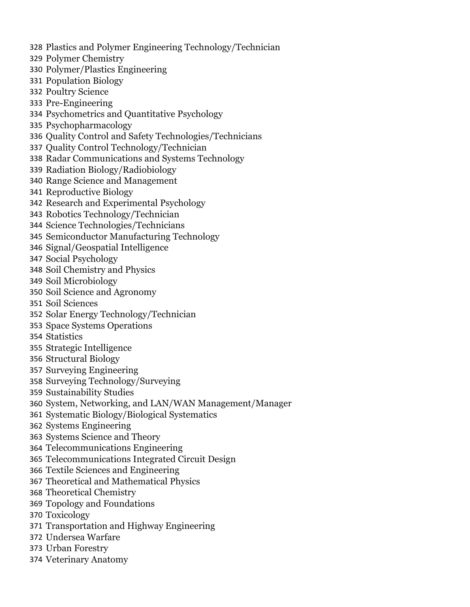- Plastics and Polymer Engineering Technology/Technician
- Polymer Chemistry
- Polymer/Plastics Engineering
- Population Biology
- Poultry Science
- Pre-Engineering
- Psychometrics and Quantitative Psychology
- Psychopharmacology
- Quality Control and Safety Technologies/Technicians
- Quality Control Technology/Technician
- Radar Communications and Systems Technology
- Radiation Biology/Radiobiology
- Range Science and Management
- Reproductive Biology
- Research and Experimental Psychology
- Robotics Technology/Technician
- Science Technologies/Technicians
- Semiconductor Manufacturing Technology
- Signal/Geospatial Intelligence
- Social Psychology
- Soil Chemistry and Physics
- Soil Microbiology
- Soil Science and Agronomy
- Soil Sciences
- Solar Energy Technology/Technician
- Space Systems Operations
- Statistics
- Strategic Intelligence
- Structural Biology
- Surveying Engineering
- Surveying Technology/Surveying
- Sustainability Studies
- System, Networking, and LAN/WAN Management/Manager
- Systematic Biology/Biological Systematics
- Systems Engineering
- Systems Science and Theory
- Telecommunications Engineering
- Telecommunications Integrated Circuit Design
- Textile Sciences and Engineering
- Theoretical and Mathematical Physics
- Theoretical Chemistry
- Topology and Foundations
- Toxicology
- Transportation and Highway Engineering
- Undersea Warfare
- Urban Forestry
- Veterinary Anatomy